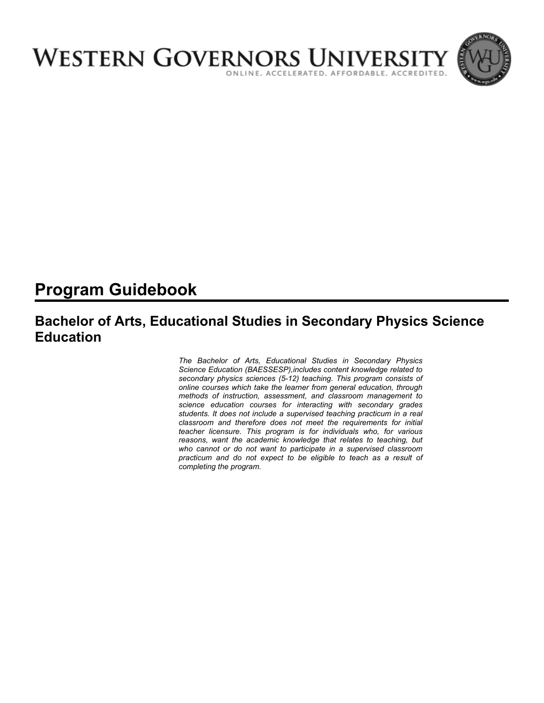

# **Program Guidebook**

## **Bachelor of Arts, Educational Studies in Secondary Physics Science Education**

*The Bachelor of Arts, Educational Studies in Secondary Physics Science Education (BAESSESP),includes content knowledge related to secondary physics sciences (5-12) teaching. This program consists of online courses which take the learner from general education, through methods of instruction, assessment, and classroom management to science education courses for interacting with secondary grades students. It does not include a supervised teaching practicum in a real classroom and therefore does not meet the requirements for initial teacher licensure. This program is for individuals who, for various reasons, want the academic knowledge that relates to teaching, but who cannot or do not want to participate in a supervised classroom practicum and do not expect to be eligible to teach as a result of completing the program.*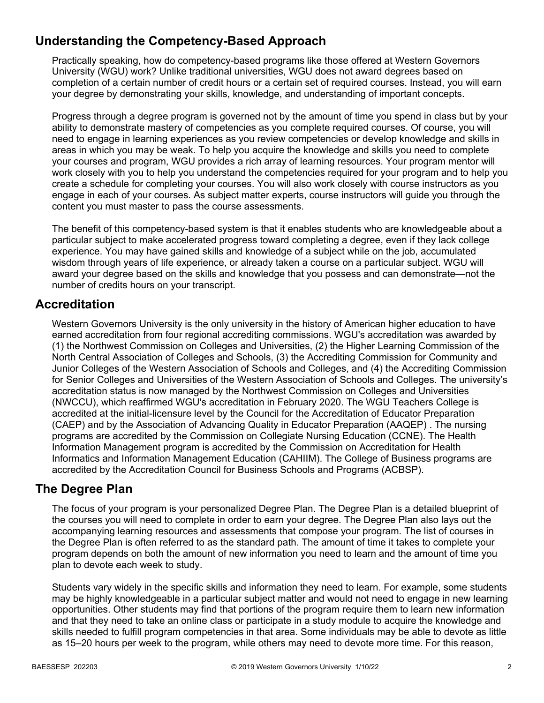## **Understanding the Competency-Based Approach**

Practically speaking, how do competency-based programs like those offered at Western Governors University (WGU) work? Unlike traditional universities, WGU does not award degrees based on completion of a certain number of credit hours or a certain set of required courses. Instead, you will earn your degree by demonstrating your skills, knowledge, and understanding of important concepts.

Progress through a degree program is governed not by the amount of time you spend in class but by your ability to demonstrate mastery of competencies as you complete required courses. Of course, you will need to engage in learning experiences as you review competencies or develop knowledge and skills in areas in which you may be weak. To help you acquire the knowledge and skills you need to complete your courses and program, WGU provides a rich array of learning resources. Your program mentor will work closely with you to help you understand the competencies required for your program and to help you create a schedule for completing your courses. You will also work closely with course instructors as you engage in each of your courses. As subject matter experts, course instructors will guide you through the content you must master to pass the course assessments.

The benefit of this competency-based system is that it enables students who are knowledgeable about a particular subject to make accelerated progress toward completing a degree, even if they lack college experience. You may have gained skills and knowledge of a subject while on the job, accumulated wisdom through years of life experience, or already taken a course on a particular subject. WGU will award your degree based on the skills and knowledge that you possess and can demonstrate—not the number of credits hours on your transcript.

### **Accreditation**

Western Governors University is the only university in the history of American higher education to have earned accreditation from four regional accrediting commissions. WGU's accreditation was awarded by (1) the Northwest Commission on Colleges and Universities, (2) the Higher Learning Commission of the North Central Association of Colleges and Schools, (3) the Accrediting Commission for Community and Junior Colleges of the Western Association of Schools and Colleges, and (4) the Accrediting Commission for Senior Colleges and Universities of the Western Association of Schools and Colleges. The university's accreditation status is now managed by the Northwest Commission on Colleges and Universities (NWCCU), which reaffirmed WGU's accreditation in February 2020. The WGU Teachers College is accredited at the initial-licensure level by the Council for the Accreditation of Educator Preparation (CAEP) and by the Association of Advancing Quality in Educator Preparation (AAQEP) . The nursing programs are accredited by the Commission on Collegiate Nursing Education (CCNE). The Health Information Management program is accredited by the Commission on Accreditation for Health Informatics and Information Management Education (CAHIIM). The College of Business programs are accredited by the Accreditation Council for Business Schools and Programs (ACBSP).

### **The Degree Plan**

The focus of your program is your personalized Degree Plan. The Degree Plan is a detailed blueprint of the courses you will need to complete in order to earn your degree. The Degree Plan also lays out the accompanying learning resources and assessments that compose your program. The list of courses in the Degree Plan is often referred to as the standard path. The amount of time it takes to complete your program depends on both the amount of new information you need to learn and the amount of time you plan to devote each week to study.

Students vary widely in the specific skills and information they need to learn. For example, some students may be highly knowledgeable in a particular subject matter and would not need to engage in new learning opportunities. Other students may find that portions of the program require them to learn new information and that they need to take an online class or participate in a study module to acquire the knowledge and skills needed to fulfill program competencies in that area. Some individuals may be able to devote as little as 15–20 hours per week to the program, while others may need to devote more time. For this reason,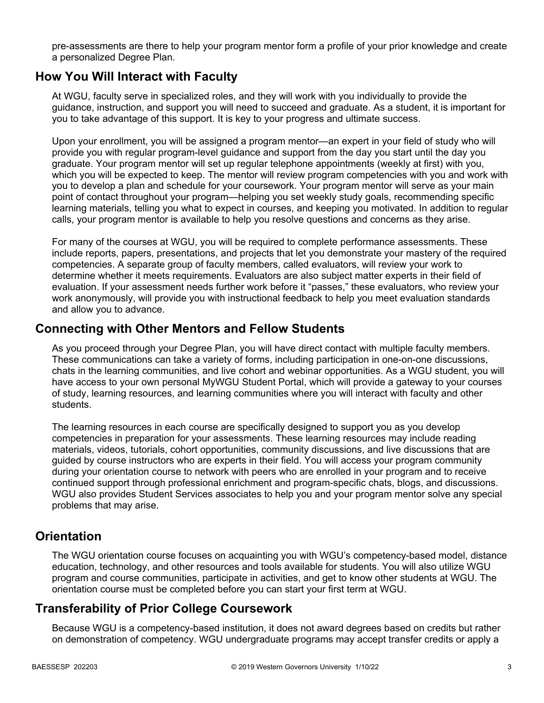pre-assessments are there to help your program mentor form a profile of your prior knowledge and create a personalized Degree Plan.

### **How You Will Interact with Faculty**

At WGU, faculty serve in specialized roles, and they will work with you individually to provide the guidance, instruction, and support you will need to succeed and graduate. As a student, it is important for you to take advantage of this support. It is key to your progress and ultimate success.

Upon your enrollment, you will be assigned a program mentor—an expert in your field of study who will provide you with regular program-level guidance and support from the day you start until the day you graduate. Your program mentor will set up regular telephone appointments (weekly at first) with you, which you will be expected to keep. The mentor will review program competencies with you and work with you to develop a plan and schedule for your coursework. Your program mentor will serve as your main point of contact throughout your program—helping you set weekly study goals, recommending specific learning materials, telling you what to expect in courses, and keeping you motivated. In addition to regular calls, your program mentor is available to help you resolve questions and concerns as they arise.

For many of the courses at WGU, you will be required to complete performance assessments. These include reports, papers, presentations, and projects that let you demonstrate your mastery of the required competencies. A separate group of faculty members, called evaluators, will review your work to determine whether it meets requirements. Evaluators are also subject matter experts in their field of evaluation. If your assessment needs further work before it "passes," these evaluators, who review your work anonymously, will provide you with instructional feedback to help you meet evaluation standards and allow you to advance.

### **Connecting with Other Mentors and Fellow Students**

As you proceed through your Degree Plan, you will have direct contact with multiple faculty members. These communications can take a variety of forms, including participation in one-on-one discussions, chats in the learning communities, and live cohort and webinar opportunities. As a WGU student, you will have access to your own personal MyWGU Student Portal, which will provide a gateway to your courses of study, learning resources, and learning communities where you will interact with faculty and other students.

The learning resources in each course are specifically designed to support you as you develop competencies in preparation for your assessments. These learning resources may include reading materials, videos, tutorials, cohort opportunities, community discussions, and live discussions that are guided by course instructors who are experts in their field. You will access your program community during your orientation course to network with peers who are enrolled in your program and to receive continued support through professional enrichment and program-specific chats, blogs, and discussions. WGU also provides Student Services associates to help you and your program mentor solve any special problems that may arise.

### **Orientation**

The WGU orientation course focuses on acquainting you with WGU's competency-based model, distance education, technology, and other resources and tools available for students. You will also utilize WGU program and course communities, participate in activities, and get to know other students at WGU. The orientation course must be completed before you can start your first term at WGU.

## **Transferability of Prior College Coursework**

Because WGU is a competency-based institution, it does not award degrees based on credits but rather on demonstration of competency. WGU undergraduate programs may accept transfer credits or apply a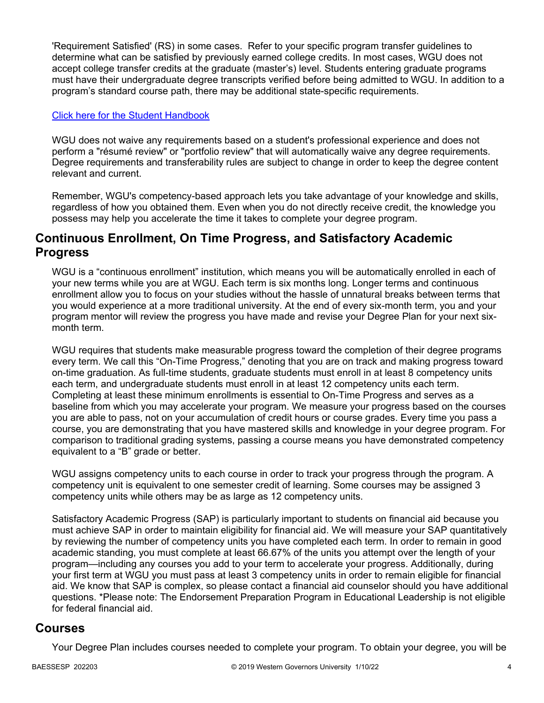'Requirement Satisfied' (RS) in some cases. Refer to your specific program transfer guidelines to determine what can be satisfied by previously earned college credits. In most cases, WGU does not accept college transfer credits at the graduate (master's) level. Students entering graduate programs must have their undergraduate degree transcripts verified before being admitted to WGU. In addition to a program's standard course path, there may be additional state-specific requirements.

#### [Click here for the Student Handbook](http://cm.wgu.edu/)

WGU does not waive any requirements based on a student's professional experience and does not perform a "résumé review" or "portfolio review" that will automatically waive any degree requirements. Degree requirements and transferability rules are subject to change in order to keep the degree content relevant and current.

Remember, WGU's competency-based approach lets you take advantage of your knowledge and skills, regardless of how you obtained them. Even when you do not directly receive credit, the knowledge you possess may help you accelerate the time it takes to complete your degree program.

### **Continuous Enrollment, On Time Progress, and Satisfactory Academic Progress**

WGU is a "continuous enrollment" institution, which means you will be automatically enrolled in each of your new terms while you are at WGU. Each term is six months long. Longer terms and continuous enrollment allow you to focus on your studies without the hassle of unnatural breaks between terms that you would experience at a more traditional university. At the end of every six-month term, you and your program mentor will review the progress you have made and revise your Degree Plan for your next sixmonth term.

WGU requires that students make measurable progress toward the completion of their degree programs every term. We call this "On-Time Progress," denoting that you are on track and making progress toward on-time graduation. As full-time students, graduate students must enroll in at least 8 competency units each term, and undergraduate students must enroll in at least 12 competency units each term. Completing at least these minimum enrollments is essential to On-Time Progress and serves as a baseline from which you may accelerate your program. We measure your progress based on the courses you are able to pass, not on your accumulation of credit hours or course grades. Every time you pass a course, you are demonstrating that you have mastered skills and knowledge in your degree program. For comparison to traditional grading systems, passing a course means you have demonstrated competency equivalent to a "B" grade or better.

WGU assigns competency units to each course in order to track your progress through the program. A competency unit is equivalent to one semester credit of learning. Some courses may be assigned 3 competency units while others may be as large as 12 competency units.

Satisfactory Academic Progress (SAP) is particularly important to students on financial aid because you must achieve SAP in order to maintain eligibility for financial aid. We will measure your SAP quantitatively by reviewing the number of competency units you have completed each term. In order to remain in good academic standing, you must complete at least 66.67% of the units you attempt over the length of your program—including any courses you add to your term to accelerate your progress. Additionally, during your first term at WGU you must pass at least 3 competency units in order to remain eligible for financial aid. We know that SAP is complex, so please contact a financial aid counselor should you have additional questions. \*Please note: The Endorsement Preparation Program in Educational Leadership is not eligible for federal financial aid.

### **Courses**

Your Degree Plan includes courses needed to complete your program. To obtain your degree, you will be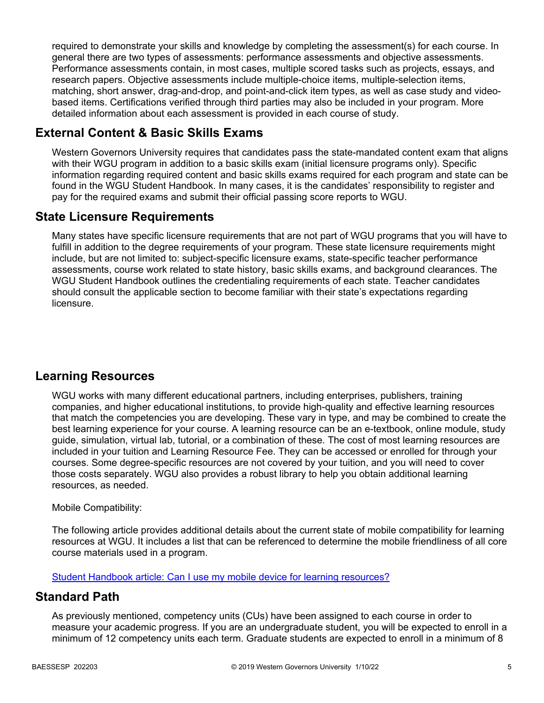required to demonstrate your skills and knowledge by completing the assessment(s) for each course. In general there are two types of assessments: performance assessments and objective assessments. Performance assessments contain, in most cases, multiple scored tasks such as projects, essays, and research papers. Objective assessments include multiple-choice items, multiple-selection items, matching, short answer, drag-and-drop, and point-and-click item types, as well as case study and videobased items. Certifications verified through third parties may also be included in your program. More detailed information about each assessment is provided in each course of study.

## **External Content & Basic Skills Exams**

Western Governors University requires that candidates pass the state-mandated content exam that aligns with their WGU program in addition to a basic skills exam (initial licensure programs only). Specific information regarding required content and basic skills exams required for each program and state can be found in the WGU Student Handbook. In many cases, it is the candidates' responsibility to register and pay for the required exams and submit their official passing score reports to WGU.

## **State Licensure Requirements**

Many states have specific licensure requirements that are not part of WGU programs that you will have to fulfill in addition to the degree requirements of your program. These state licensure requirements might include, but are not limited to: subject-specific licensure exams, state-specific teacher performance assessments, course work related to state history, basic skills exams, and background clearances. The WGU Student Handbook outlines the credentialing requirements of each state. Teacher candidates should consult the applicable section to become familiar with their state's expectations regarding licensure.

## **Learning Resources**

WGU works with many different educational partners, including enterprises, publishers, training companies, and higher educational institutions, to provide high-quality and effective learning resources that match the competencies you are developing. These vary in type, and may be combined to create the best learning experience for your course. A learning resource can be an e-textbook, online module, study guide, simulation, virtual lab, tutorial, or a combination of these. The cost of most learning resources are included in your tuition and Learning Resource Fee. They can be accessed or enrolled for through your courses. Some degree-specific resources are not covered by your tuition, and you will need to cover those costs separately. WGU also provides a robust library to help you obtain additional learning resources, as needed.

### Mobile Compatibility:

The following article provides additional details about the current state of mobile compatibility for learning resources at WGU. It includes a list that can be referenced to determine the mobile friendliness of all core course materials used in a program.

[Student Handbook article: Can I use my mobile device for learning resources?](https://cm.wgu.edu/t5/Frequently-Asked-Questions/Can-I-use-my-mobile-device-for-learning-resources/ta-p/396)

### **Standard Path**

As previously mentioned, competency units (CUs) have been assigned to each course in order to measure your academic progress. If you are an undergraduate student, you will be expected to enroll in a minimum of 12 competency units each term. Graduate students are expected to enroll in a minimum of 8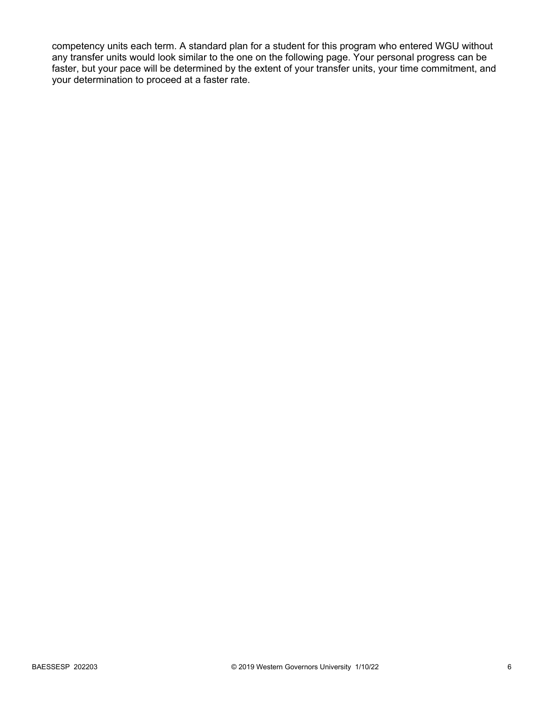competency units each term. A standard plan for a student for this program who entered WGU without any transfer units would look similar to the one on the following page. Your personal progress can be faster, but your pace will be determined by the extent of your transfer units, your time commitment, and your determination to proceed at a faster rate.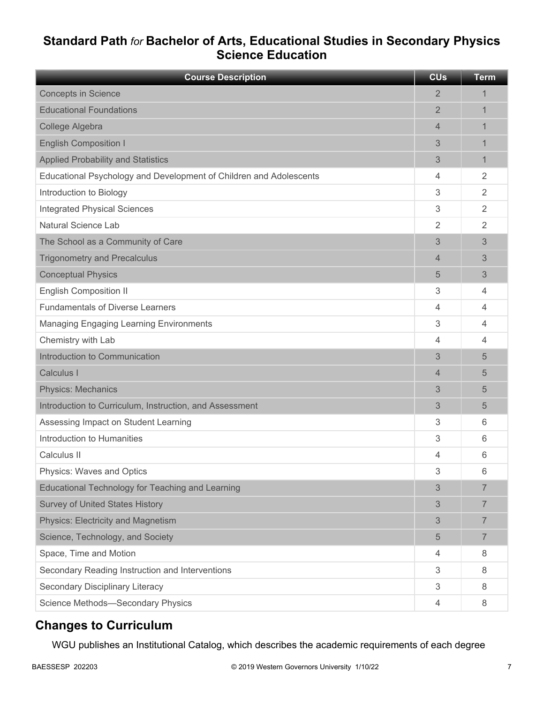## **Standard Path** *for* **Bachelor of Arts, Educational Studies in Secondary Physics Science Education**

| <b>Course Description</b>                                          | <b>CU<sub>s</sub></b> | <b>Term</b>    |
|--------------------------------------------------------------------|-----------------------|----------------|
| <b>Concepts in Science</b>                                         | $\overline{2}$        | 1              |
| <b>Educational Foundations</b>                                     | $\overline{2}$        | 1              |
| College Algebra                                                    | $\overline{4}$        | 1              |
| <b>English Composition I</b>                                       | 3                     | 1              |
| <b>Applied Probability and Statistics</b>                          | 3                     | $\mathbf{1}$   |
| Educational Psychology and Development of Children and Adolescents | 4                     | 2              |
| Introduction to Biology                                            | 3                     | 2              |
| <b>Integrated Physical Sciences</b>                                | 3                     | 2              |
| <b>Natural Science Lab</b>                                         | 2                     | 2              |
| The School as a Community of Care                                  | 3                     | 3              |
| <b>Trigonometry and Precalculus</b>                                | $\overline{4}$        | 3              |
| <b>Conceptual Physics</b>                                          | 5                     | 3              |
| <b>English Composition II</b>                                      | 3                     | 4              |
| <b>Fundamentals of Diverse Learners</b>                            | 4                     | 4              |
| <b>Managing Engaging Learning Environments</b>                     | 3                     | 4              |
| Chemistry with Lab                                                 | 4                     | $\overline{4}$ |
| Introduction to Communication                                      | 3                     | 5              |
| Calculus I                                                         | 4                     | 5              |
| <b>Physics: Mechanics</b>                                          | 3                     | 5              |
| Introduction to Curriculum, Instruction, and Assessment            | 3                     | 5              |
| Assessing Impact on Student Learning                               | 3                     | 6              |
| Introduction to Humanities                                         | 3                     | 6              |
| Calculus II                                                        | 4                     | 6              |
| Physics: Waves and Optics                                          | 3                     | 6              |
| Educational Technology for Teaching and Learning                   | 3                     | $\overline{7}$ |
| <b>Survey of United States History</b>                             | 3                     | $\overline{7}$ |
| Physics: Electricity and Magnetism                                 | 3                     | $\overline{7}$ |
| Science, Technology, and Society                                   | 5                     | 7              |
| Space, Time and Motion                                             | 4                     | 8              |
| Secondary Reading Instruction and Interventions                    | 3                     | 8              |
| Secondary Disciplinary Literacy                                    | 3                     | 8              |
| Science Methods-Secondary Physics                                  | 4                     | 8              |

## **Changes to Curriculum**

WGU publishes an Institutional Catalog, which describes the academic requirements of each degree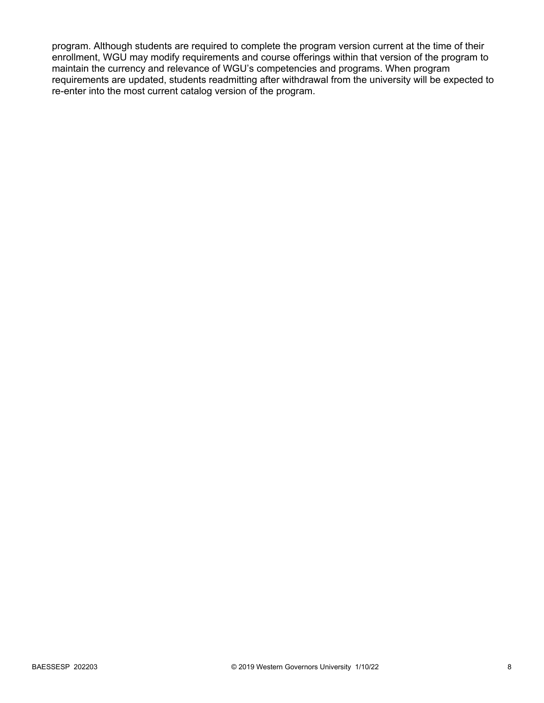program. Although students are required to complete the program version current at the time of their enrollment, WGU may modify requirements and course offerings within that version of the program to maintain the currency and relevance of WGU's competencies and programs. When program requirements are updated, students readmitting after withdrawal from the university will be expected to re-enter into the most current catalog version of the program.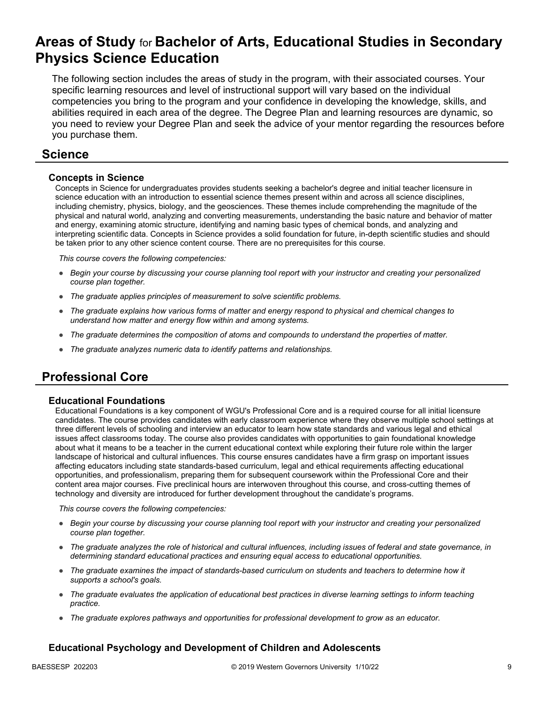## **Areas of Study** for **Bachelor of Arts, Educational Studies in Secondary Physics Science Education**

The following section includes the areas of study in the program, with their associated courses. Your specific learning resources and level of instructional support will vary based on the individual competencies you bring to the program and your confidence in developing the knowledge, skills, and abilities required in each area of the degree. The Degree Plan and learning resources are dynamic, so you need to review your Degree Plan and seek the advice of your mentor regarding the resources before you purchase them.

### **Science**

#### **Concepts in Science**

Concepts in Science for undergraduates provides students seeking a bachelor's degree and initial teacher licensure in science education with an introduction to essential science themes present within and across all science disciplines, including chemistry, physics, biology, and the geosciences. These themes include comprehending the magnitude of the physical and natural world, analyzing and converting measurements, understanding the basic nature and behavior of matter and energy, examining atomic structure, identifying and naming basic types of chemical bonds, and analyzing and interpreting scientific data. Concepts in Science provides a solid foundation for future, in-depth scientific studies and should be taken prior to any other science content course. There are no prerequisites for this course.

*This course covers the following competencies:*

- *Begin your course by discussing your course planning tool report with your instructor and creating your personalized course plan together.*
- *The graduate applies principles of measurement to solve scientific problems.*
- *The graduate explains how various forms of matter and energy respond to physical and chemical changes to understand how matter and energy flow within and among systems.*
- *The graduate determines the composition of atoms and compounds to understand the properties of matter.*
- *The graduate analyzes numeric data to identify patterns and relationships.*

## **Professional Core**

#### **Educational Foundations**

Educational Foundations is a key component of WGU's Professional Core and is a required course for all initial licensure candidates. The course provides candidates with early classroom experience where they observe multiple school settings at three different levels of schooling and interview an educator to learn how state standards and various legal and ethical issues affect classrooms today. The course also provides candidates with opportunities to gain foundational knowledge about what it means to be a teacher in the current educational context while exploring their future role within the larger landscape of historical and cultural influences. This course ensures candidates have a firm grasp on important issues affecting educators including state standards-based curriculum, legal and ethical requirements affecting educational opportunities, and professionalism, preparing them for subsequent coursework within the Professional Core and their content area major courses. Five preclinical hours are interwoven throughout this course, and cross-cutting themes of technology and diversity are introduced for further development throughout the candidate's programs.

*This course covers the following competencies:*

- *Begin your course by discussing your course planning tool report with your instructor and creating your personalized course plan together.*
- *The graduate analyzes the role of historical and cultural influences, including issues of federal and state governance, in determining standard educational practices and ensuring equal access to educational opportunities.*
- *The graduate examines the impact of standards-based curriculum on students and teachers to determine how it supports a school's goals.*
- *The graduate evaluates the application of educational best practices in diverse learning settings to inform teaching practice.*
- *The graduate explores pathways and opportunities for professional development to grow as an educator.*

### **Educational Psychology and Development of Children and Adolescents**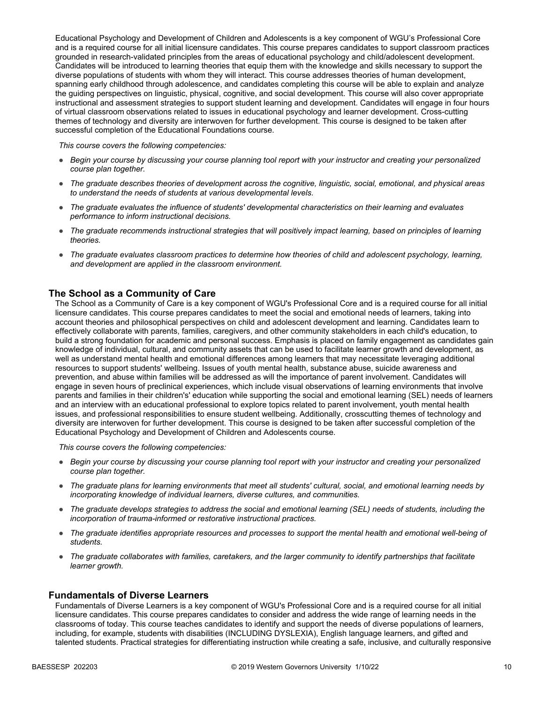Educational Psychology and Development of Children and Adolescents is a key component of WGU's Professional Core and is a required course for all initial licensure candidates. This course prepares candidates to support classroom practices grounded in research-validated principles from the areas of educational psychology and child/adolescent development. Candidates will be introduced to learning theories that equip them with the knowledge and skills necessary to support the diverse populations of students with whom they will interact. This course addresses theories of human development, spanning early childhood through adolescence, and candidates completing this course will be able to explain and analyze the guiding perspectives on linguistic, physical, cognitive, and social development. This course will also cover appropriate instructional and assessment strategies to support student learning and development. Candidates will engage in four hours of virtual classroom observations related to issues in educational psychology and learner development. Cross-cutting themes of technology and diversity are interwoven for further development. This course is designed to be taken after successful completion of the Educational Foundations course.

*This course covers the following competencies:*

- *Begin your course by discussing your course planning tool report with your instructor and creating your personalized course plan together.*
- *The graduate describes theories of development across the cognitive, linguistic, social, emotional, and physical areas to understand the needs of students at various developmental levels.*
- *The graduate evaluates the influence of students' developmental characteristics on their learning and evaluates performance to inform instructional decisions.*
- *The graduate recommends instructional strategies that will positively impact learning, based on principles of learning theories.*
- *The graduate evaluates classroom practices to determine how theories of child and adolescent psychology, learning, and development are applied in the classroom environment.*

#### **The School as a Community of Care**

The School as a Community of Care is a key component of WGU's Professional Core and is a required course for all initial licensure candidates. This course prepares candidates to meet the social and emotional needs of learners, taking into account theories and philosophical perspectives on child and adolescent development and learning. Candidates learn to effectively collaborate with parents, families, caregivers, and other community stakeholders in each child's education, to build a strong foundation for academic and personal success. Emphasis is placed on family engagement as candidates gain knowledge of individual, cultural, and community assets that can be used to facilitate learner growth and development, as well as understand mental health and emotional differences among learners that may necessitate leveraging additional resources to support students' wellbeing. Issues of youth mental health, substance abuse, suicide awareness and prevention, and abuse within families will be addressed as will the importance of parent involvement. Candidates will engage in seven hours of preclinical experiences, which include visual observations of learning environments that involve parents and families in their children's' education while supporting the social and emotional learning (SEL) needs of learners and an interview with an educational professional to explore topics related to parent involvement, youth mental health issues, and professional responsibilities to ensure student wellbeing. Additionally, crosscutting themes of technology and diversity are interwoven for further development. This course is designed to be taken after successful completion of the Educational Psychology and Development of Children and Adolescents course.

*This course covers the following competencies:*

- *Begin your course by discussing your course planning tool report with your instructor and creating your personalized course plan together.*
- *The graduate plans for learning environments that meet all students' cultural, social, and emotional learning needs by incorporating knowledge of individual learners, diverse cultures, and communities.*
- *The graduate develops strategies to address the social and emotional learning (SEL) needs of students, including the incorporation of trauma-informed or restorative instructional practices.*
- *The graduate identifies appropriate resources and processes to support the mental health and emotional well-being of students.*
- *The graduate collaborates with families, caretakers, and the larger community to identify partnerships that facilitate learner growth.*

#### **Fundamentals of Diverse Learners**

Fundamentals of Diverse Learners is a key component of WGU's Professional Core and is a required course for all initial licensure candidates. This course prepares candidates to consider and address the wide range of learning needs in the classrooms of today. This course teaches candidates to identify and support the needs of diverse populations of learners, including, for example, students with disabilities (INCLUDING DYSLEXIA), English language learners, and gifted and talented students. Practical strategies for differentiating instruction while creating a safe, inclusive, and culturally responsive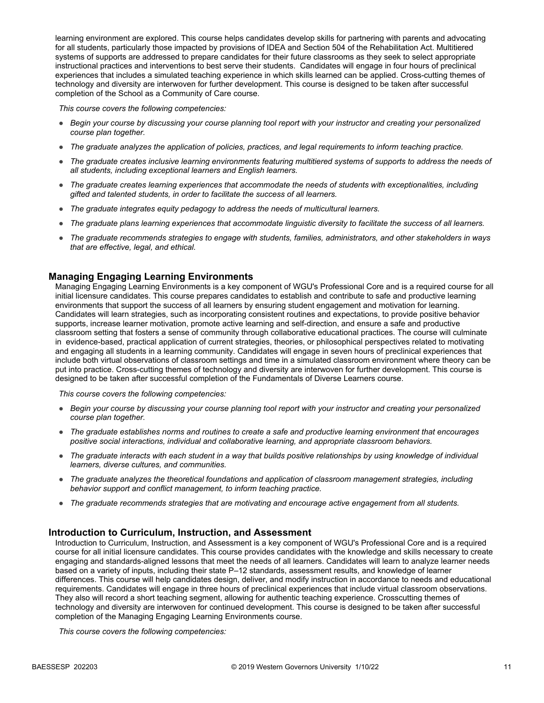learning environment are explored. This course helps candidates develop skills for partnering with parents and advocating for all students, particularly those impacted by provisions of IDEA and Section 504 of the Rehabilitation Act. Multitiered systems of supports are addressed to prepare candidates for their future classrooms as they seek to select appropriate instructional practices and interventions to best serve their students. Candidates will engage in four hours of preclinical experiences that includes a simulated teaching experience in which skills learned can be applied. Cross-cutting themes of technology and diversity are interwoven for further development. This course is designed to be taken after successful completion of the School as a Community of Care course.

*This course covers the following competencies:*

- *Begin your course by discussing your course planning tool report with your instructor and creating your personalized course plan together.*
- *The graduate analyzes the application of policies, practices, and legal requirements to inform teaching practice.*
- *The graduate creates inclusive learning environments featuring multitiered systems of supports to address the needs of all students, including exceptional learners and English learners.*
- *The graduate creates learning experiences that accommodate the needs of students with exceptionalities, including gifted and talented students, in order to facilitate the success of all learners.*
- *The graduate integrates equity pedagogy to address the needs of multicultural learners.*
- *The graduate plans learning experiences that accommodate linguistic diversity to facilitate the success of all learners.*
- *The graduate recommends strategies to engage with students, families, administrators, and other stakeholders in ways that are effective, legal, and ethical.*

#### **Managing Engaging Learning Environments**

Managing Engaging Learning Environments is a key component of WGU's Professional Core and is a required course for all initial licensure candidates. This course prepares candidates to establish and contribute to safe and productive learning environments that support the success of all learners by ensuring student engagement and motivation for learning. Candidates will learn strategies, such as incorporating consistent routines and expectations, to provide positive behavior supports, increase learner motivation, promote active learning and self-direction, and ensure a safe and productive classroom setting that fosters a sense of community through collaborative educational practices. The course will culminate in evidence-based, practical application of current strategies, theories, or philosophical perspectives related to motivating and engaging all students in a learning community. Candidates will engage in seven hours of preclinical experiences that include both virtual observations of classroom settings and time in a simulated classroom environment where theory can be put into practice. Cross-cutting themes of technology and diversity are interwoven for further development. This course is designed to be taken after successful completion of the Fundamentals of Diverse Learners course.

*This course covers the following competencies:*

- *Begin your course by discussing your course planning tool report with your instructor and creating your personalized course plan together.*
- *The graduate establishes norms and routines to create a safe and productive learning environment that encourages positive social interactions, individual and collaborative learning, and appropriate classroom behaviors.*
- *The graduate interacts with each student in a way that builds positive relationships by using knowledge of individual learners, diverse cultures, and communities.*
- *The graduate analyzes the theoretical foundations and application of classroom management strategies, including behavior support and conflict management, to inform teaching practice.*
- *The graduate recommends strategies that are motivating and encourage active engagement from all students.*

#### **Introduction to Curriculum, Instruction, and Assessment**

Introduction to Curriculum, Instruction, and Assessment is a key component of WGU's Professional Core and is a required course for all initial licensure candidates. This course provides candidates with the knowledge and skills necessary to create engaging and standards-aligned lessons that meet the needs of all learners. Candidates will learn to analyze learner needs based on a variety of inputs, including their state P–12 standards, assessment results, and knowledge of learner differences. This course will help candidates design, deliver, and modify instruction in accordance to needs and educational requirements. Candidates will engage in three hours of preclinical experiences that include virtual classroom observations. They also will record a short teaching segment, allowing for authentic teaching experience. Crosscutting themes of technology and diversity are interwoven for continued development. This course is designed to be taken after successful completion of the Managing Engaging Learning Environments course.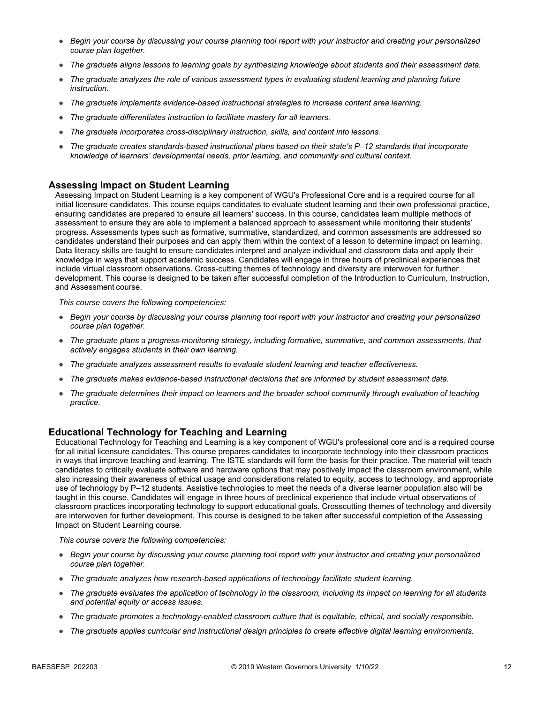- *Begin your course by discussing your course planning tool report with your instructor and creating your personalized course plan together.*
- *The graduate aligns lessons to learning goals by synthesizing knowledge about students and their assessment data.*
- *The graduate analyzes the role of various assessment types in evaluating student learning and planning future instruction.*
- *The graduate implements evidence-based instructional strategies to increase content area learning.*
- *The graduate differentiates instruction to facilitate mastery for all learners.*
- *The graduate incorporates cross-disciplinary instruction, skills, and content into lessons.*
- *The graduate creates standards-based instructional plans based on their state's P–12 standards that incorporate knowledge of learners' developmental needs, prior learning, and community and cultural context.*

#### **Assessing Impact on Student Learning**

Assessing Impact on Student Learning is a key component of WGU's Professional Core and is a required course for all initial licensure candidates. This course equips candidates to evaluate student learning and their own professional practice, ensuring candidates are prepared to ensure all learners' success. In this course, candidates learn multiple methods of assessment to ensure they are able to implement a balanced approach to assessment while monitoring their students' progress. Assessments types such as formative, summative, standardized, and common assessments are addressed so candidates understand their purposes and can apply them within the context of a lesson to determine impact on learning. Data literacy skills are taught to ensure candidates interpret and analyze individual and classroom data and apply their knowledge in ways that support academic success. Candidates will engage in three hours of preclinical experiences that include virtual classroom observations. Cross-cutting themes of technology and diversity are interwoven for further development. This course is designed to be taken after successful completion of the Introduction to Curriculum, Instruction, and Assessment course.

*This course covers the following competencies:*

- *Begin your course by discussing your course planning tool report with your instructor and creating your personalized course plan together.*
- *The graduate plans a progress-monitoring strategy, including formative, summative, and common assessments, that actively engages students in their own learning.*
- *The graduate analyzes assessment results to evaluate student learning and teacher effectiveness.*
- *The graduate makes evidence-based instructional decisions that are informed by student assessment data.*
- *The graduate determines their impact on learners and the broader school community through evaluation of teaching practice.*

#### **Educational Technology for Teaching and Learning**

Educational Technology for Teaching and Learning is a key component of WGU's professional core and is a required course for all initial licensure candidates. This course prepares candidates to incorporate technology into their classroom practices in ways that improve teaching and learning. The ISTE standards will form the basis for their practice. The material will teach candidates to critically evaluate software and hardware options that may positively impact the classroom environment, while also increasing their awareness of ethical usage and considerations related to equity, access to technology, and appropriate use of technology by P–12 students. Assistive technologies to meet the needs of a diverse learner population also will be taught in this course. Candidates will engage in three hours of preclinical experience that include virtual observations of classroom practices incorporating technology to support educational goals. Crosscutting themes of technology and diversity are interwoven for further development. This course is designed to be taken after successful completion of the Assessing Impact on Student Learning course.

- *Begin your course by discussing your course planning tool report with your instructor and creating your personalized course plan together.*
- *The graduate analyzes how research-based applications of technology facilitate student learning.*
- *The graduate evaluates the application of technology in the classroom, including its impact on learning for all students and potential equity or access issues.*
- *The graduate promotes a technology-enabled classroom culture that is equitable, ethical, and socially responsible.*
- *The graduate applies curricular and instructional design principles to create effective digital learning environments.*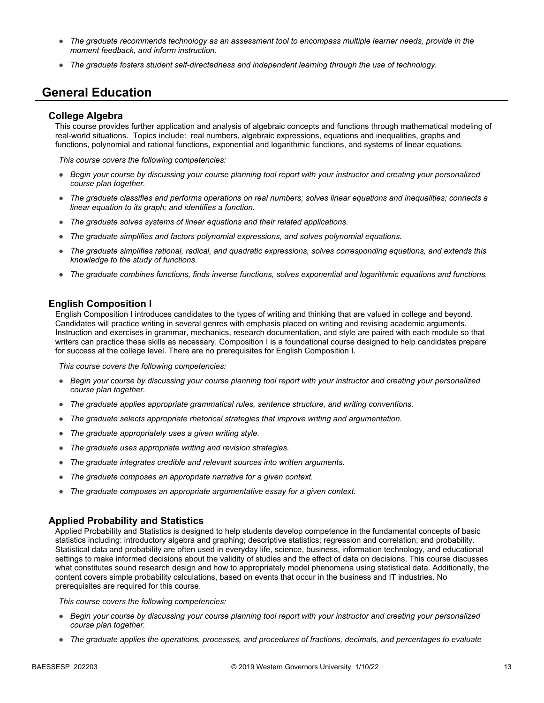- *The graduate recommends technology as an assessment tool to encompass multiple learner needs, provide in the moment feedback, and inform instruction.*
- *The graduate fosters student self-directedness and independent learning through the use of technology.*

### **General Education**

#### **College Algebra**

This course provides further application and analysis of algebraic concepts and functions through mathematical modeling of real-world situations. Topics include: real numbers, algebraic expressions, equations and inequalities, graphs and functions, polynomial and rational functions, exponential and logarithmic functions, and systems of linear equations.

*This course covers the following competencies:*

- *Begin your course by discussing your course planning tool report with your instructor and creating your personalized course plan together.*
- *The graduate classifies and performs operations on real numbers; solves linear equations and inequalities; connects a linear equation to its graph; and identifies a function.*
- *The graduate solves systems of linear equations and their related applications.*
- The graduate simplifies and factors polynomial expressions, and solves polynomial equations.
- *The graduate simplifies rational, radical, and quadratic expressions, solves corresponding equations, and extends this knowledge to the study of functions.*
- *The graduate combines functions, finds inverse functions, solves exponential and logarithmic equations and functions.*

#### **English Composition I**

English Composition I introduces candidates to the types of writing and thinking that are valued in college and beyond. Candidates will practice writing in several genres with emphasis placed on writing and revising academic arguments. Instruction and exercises in grammar, mechanics, research documentation, and style are paired with each module so that writers can practice these skills as necessary. Composition I is a foundational course designed to help candidates prepare for success at the college level. There are no prerequisites for English Composition I.

*This course covers the following competencies:*

- *Begin your course by discussing your course planning tool report with your instructor and creating your personalized course plan together.*
- *The graduate applies appropriate grammatical rules, sentence structure, and writing conventions.*
- *The graduate selects appropriate rhetorical strategies that improve writing and argumentation.*
- *The graduate appropriately uses a given writing style.*
- *The graduate uses appropriate writing and revision strategies.*
- *The graduate integrates credible and relevant sources into written arguments.*
- *The graduate composes an appropriate narrative for a given context.*
- *The graduate composes an appropriate argumentative essay for a given context.*

#### **Applied Probability and Statistics**

Applied Probability and Statistics is designed to help students develop competence in the fundamental concepts of basic statistics including: introductory algebra and graphing; descriptive statistics; regression and correlation; and probability. Statistical data and probability are often used in everyday life, science, business, information technology, and educational settings to make informed decisions about the validity of studies and the effect of data on decisions. This course discusses what constitutes sound research design and how to appropriately model phenomena using statistical data. Additionally, the content covers simple probability calculations, based on events that occur in the business and IT industries. No prerequisites are required for this course.

- *Begin your course by discussing your course planning tool report with your instructor and creating your personalized course plan together.*
- *The graduate applies the operations, processes, and procedures of fractions, decimals, and percentages to evaluate*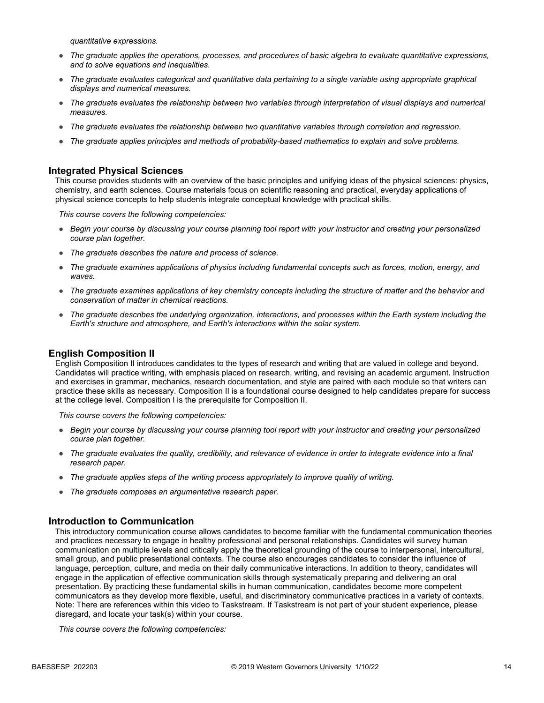*quantitative expressions.*

- *The graduate applies the operations, processes, and procedures of basic algebra to evaluate quantitative expressions, and to solve equations and inequalities.*
- *The graduate evaluates categorical and quantitative data pertaining to a single variable using appropriate graphical displays and numerical measures.*
- *The graduate evaluates the relationship between two variables through interpretation of visual displays and numerical measures.*
- *The graduate evaluates the relationship between two quantitative variables through correlation and regression.*
- *The graduate applies principles and methods of probability-based mathematics to explain and solve problems.*

#### **Integrated Physical Sciences**

This course provides students with an overview of the basic principles and unifying ideas of the physical sciences: physics, chemistry, and earth sciences. Course materials focus on scientific reasoning and practical, everyday applications of physical science concepts to help students integrate conceptual knowledge with practical skills.

*This course covers the following competencies:*

- *Begin your course by discussing your course planning tool report with your instructor and creating your personalized course plan together.*
- *The graduate describes the nature and process of science.*
- *The graduate examines applications of physics including fundamental concepts such as forces, motion, energy, and waves.*
- *The graduate examines applications of key chemistry concepts including the structure of matter and the behavior and conservation of matter in chemical reactions.*
- *The graduate describes the underlying organization, interactions, and processes within the Earth system including the Earth's structure and atmosphere, and Earth's interactions within the solar system.*

#### **English Composition II**

English Composition II introduces candidates to the types of research and writing that are valued in college and beyond. Candidates will practice writing, with emphasis placed on research, writing, and revising an academic argument. Instruction and exercises in grammar, mechanics, research documentation, and style are paired with each module so that writers can practice these skills as necessary. Composition II is a foundational course designed to help candidates prepare for success at the college level. Composition I is the prerequisite for Composition II.

*This course covers the following competencies:*

- *Begin your course by discussing your course planning tool report with your instructor and creating your personalized course plan together.*
- *The graduate evaluates the quality, credibility, and relevance of evidence in order to integrate evidence into a final research paper.*
- *The graduate applies steps of the writing process appropriately to improve quality of writing.*
- *The graduate composes an argumentative research paper.*

#### **Introduction to Communication**

This introductory communication course allows candidates to become familiar with the fundamental communication theories and practices necessary to engage in healthy professional and personal relationships. Candidates will survey human communication on multiple levels and critically apply the theoretical grounding of the course to interpersonal, intercultural, small group, and public presentational contexts. The course also encourages candidates to consider the influence of language, perception, culture, and media on their daily communicative interactions. In addition to theory, candidates will engage in the application of effective communication skills through systematically preparing and delivering an oral presentation. By practicing these fundamental skills in human communication, candidates become more competent communicators as they develop more flexible, useful, and discriminatory communicative practices in a variety of contexts. Note: There are references within this video to Taskstream. If Taskstream is not part of your student experience, please disregard, and locate your task(s) within your course.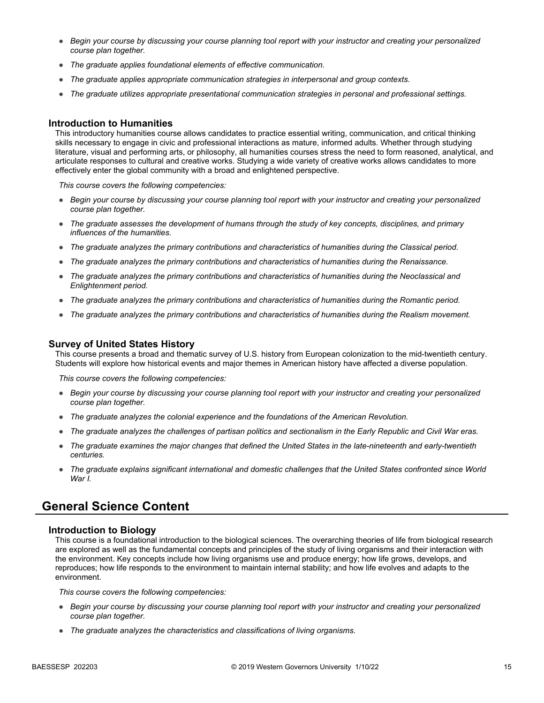- *Begin your course by discussing your course planning tool report with your instructor and creating your personalized course plan together.*
- *The graduate applies foundational elements of effective communication.*
- *The graduate applies appropriate communication strategies in interpersonal and group contexts.*
- *The graduate utilizes appropriate presentational communication strategies in personal and professional settings.*

#### **Introduction to Humanities**

This introductory humanities course allows candidates to practice essential writing, communication, and critical thinking skills necessary to engage in civic and professional interactions as mature, informed adults. Whether through studying literature, visual and performing arts, or philosophy, all humanities courses stress the need to form reasoned, analytical, and articulate responses to cultural and creative works. Studying a wide variety of creative works allows candidates to more effectively enter the global community with a broad and enlightened perspective.

*This course covers the following competencies:*

- *Begin your course by discussing your course planning tool report with your instructor and creating your personalized course plan together.*
- *The graduate assesses the development of humans through the study of key concepts, disciplines, and primary influences of the humanities.*
- *The graduate analyzes the primary contributions and characteristics of humanities during the Classical period.*
- *The graduate analyzes the primary contributions and characteristics of humanities during the Renaissance.*
- *The graduate analyzes the primary contributions and characteristics of humanities during the Neoclassical and Enlightenment period.*
- *The graduate analyzes the primary contributions and characteristics of humanities during the Romantic period.*
- *The graduate analyzes the primary contributions and characteristics of humanities during the Realism movement.*

#### **Survey of United States History**

This course presents a broad and thematic survey of U.S. history from European colonization to the mid-twentieth century. Students will explore how historical events and major themes in American history have affected a diverse population.

*This course covers the following competencies:*

- *Begin your course by discussing your course planning tool report with your instructor and creating your personalized course plan together.*
- *The graduate analyzes the colonial experience and the foundations of the American Revolution.*
- *The graduate analyzes the challenges of partisan politics and sectionalism in the Early Republic and Civil War eras.*
- *The graduate examines the major changes that defined the United States in the late-nineteenth and early-twentieth centuries.*
- *The graduate explains significant international and domestic challenges that the United States confronted since World War I.*

### **General Science Content**

#### **Introduction to Biology**

This course is a foundational introduction to the biological sciences. The overarching theories of life from biological research are explored as well as the fundamental concepts and principles of the study of living organisms and their interaction with the environment. Key concepts include how living organisms use and produce energy; how life grows, develops, and reproduces; how life responds to the environment to maintain internal stability; and how life evolves and adapts to the environment.

- *Begin your course by discussing your course planning tool report with your instructor and creating your personalized course plan together.*
- *The graduate analyzes the characteristics and classifications of living organisms.*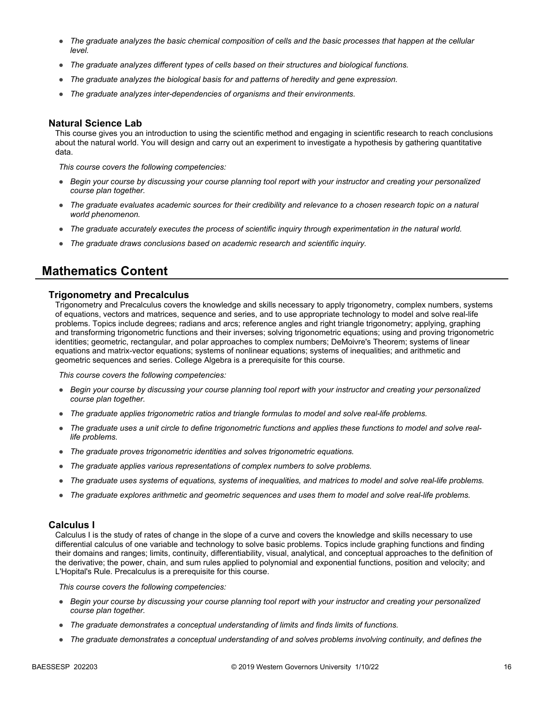- *The graduate analyzes the basic chemical composition of cells and the basic processes that happen at the cellular level.*
- *The graduate analyzes different types of cells based on their structures and biological functions.*
- *The graduate analyzes the biological basis for and patterns of heredity and gene expression.*
- *The graduate analyzes inter-dependencies of organisms and their environments.*

#### **Natural Science Lab**

This course gives you an introduction to using the scientific method and engaging in scientific research to reach conclusions about the natural world. You will design and carry out an experiment to investigate a hypothesis by gathering quantitative data.

*This course covers the following competencies:*

- *Begin your course by discussing your course planning tool report with your instructor and creating your personalized course plan together.*
- *The graduate evaluates academic sources for their credibility and relevance to a chosen research topic on a natural world phenomenon.*
- *The graduate accurately executes the process of scientific inquiry through experimentation in the natural world.*
- *The graduate draws conclusions based on academic research and scientific inquiry.*

### **Mathematics Content**

#### **Trigonometry and Precalculus**

Trigonometry and Precalculus covers the knowledge and skills necessary to apply trigonometry, complex numbers, systems of equations, vectors and matrices, sequence and series, and to use appropriate technology to model and solve real-life problems. Topics include degrees; radians and arcs; reference angles and right triangle trigonometry; applying, graphing and transforming trigonometric functions and their inverses; solving trigonometric equations; using and proving trigonometric identities; geometric, rectangular, and polar approaches to complex numbers; DeMoivre's Theorem; systems of linear equations and matrix-vector equations; systems of nonlinear equations; systems of inequalities; and arithmetic and geometric sequences and series. College Algebra is a prerequisite for this course.

*This course covers the following competencies:*

- *Begin your course by discussing your course planning tool report with your instructor and creating your personalized course plan together.*
- *The graduate applies trigonometric ratios and triangle formulas to model and solve real-life problems.*
- *The graduate uses a unit circle to define trigonometric functions and applies these functions to model and solve reallife problems.*
- *The graduate proves trigonometric identities and solves trigonometric equations.*
- *The graduate applies various representations of complex numbers to solve problems.*
- *The graduate uses systems of equations, systems of inequalities, and matrices to model and solve real-life problems.*
- *The graduate explores arithmetic and geometric sequences and uses them to model and solve real-life problems.*

#### **Calculus I**

Calculus I is the study of rates of change in the slope of a curve and covers the knowledge and skills necessary to use differential calculus of one variable and technology to solve basic problems. Topics include graphing functions and finding their domains and ranges; limits, continuity, differentiability, visual, analytical, and conceptual approaches to the definition of the derivative; the power, chain, and sum rules applied to polynomial and exponential functions, position and velocity; and L'Hopital's Rule. Precalculus is a prerequisite for this course.

- *Begin your course by discussing your course planning tool report with your instructor and creating your personalized course plan together.*
- *The graduate demonstrates a conceptual understanding of limits and finds limits of functions.*
- *The graduate demonstrates a conceptual understanding of and solves problems involving continuity, and defines the*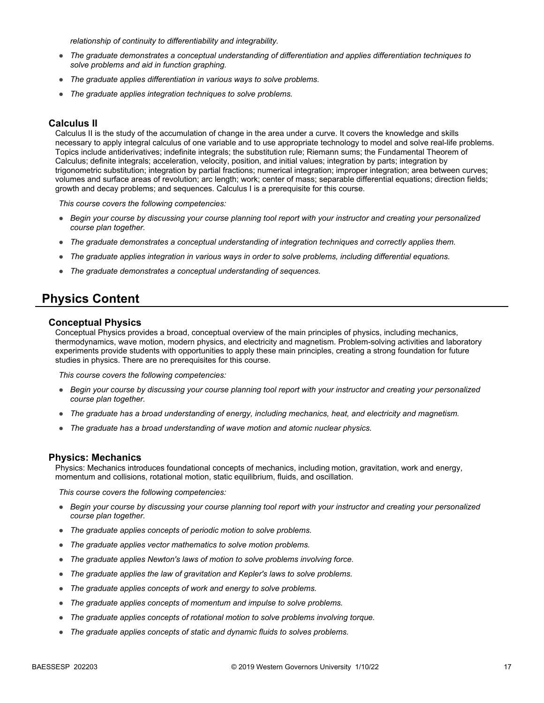*relationship of continuity to differentiability and integrability.*

- *The graduate demonstrates a conceptual understanding of differentiation and applies differentiation techniques to solve problems and aid in function graphing.*
- *The graduate applies differentiation in various ways to solve problems.*
- *The graduate applies integration techniques to solve problems.*

#### **Calculus II**

Calculus II is the study of the accumulation of change in the area under a curve. It covers the knowledge and skills necessary to apply integral calculus of one variable and to use appropriate technology to model and solve real-life problems. Topics include antiderivatives; indefinite integrals; the substitution rule; Riemann sums; the Fundamental Theorem of Calculus; definite integrals; acceleration, velocity, position, and initial values; integration by parts; integration by trigonometric substitution; integration by partial fractions; numerical integration; improper integration; area between curves; volumes and surface areas of revolution; arc length; work; center of mass; separable differential equations; direction fields; growth and decay problems; and sequences. Calculus I is a prerequisite for this course.

*This course covers the following competencies:*

- *Begin your course by discussing your course planning tool report with your instructor and creating your personalized course plan together.*
- *The graduate demonstrates a conceptual understanding of integration techniques and correctly applies them.*
- *The graduate applies integration in various ways in order to solve problems, including differential equations.*
- *The graduate demonstrates a conceptual understanding of sequences.*

### **Physics Content**

#### **Conceptual Physics**

Conceptual Physics provides a broad, conceptual overview of the main principles of physics, including mechanics, thermodynamics, wave motion, modern physics, and electricity and magnetism. Problem-solving activities and laboratory experiments provide students with opportunities to apply these main principles, creating a strong foundation for future studies in physics. There are no prerequisites for this course.

*This course covers the following competencies:*

- *Begin your course by discussing your course planning tool report with your instructor and creating your personalized course plan together.*
- *The graduate has a broad understanding of energy, including mechanics, heat, and electricity and magnetism.*
- *The graduate has a broad understanding of wave motion and atomic nuclear physics.*

#### **Physics: Mechanics**

Physics: Mechanics introduces foundational concepts of mechanics, including motion, gravitation, work and energy, momentum and collisions, rotational motion, static equilibrium, fluids, and oscillation.

- *Begin your course by discussing your course planning tool report with your instructor and creating your personalized course plan together.*
- *The graduate applies concepts of periodic motion to solve problems.*
- *The graduate applies vector mathematics to solve motion problems.*
- *The graduate applies Newton's laws of motion to solve problems involving force.*
- *The graduate applies the law of gravitation and Kepler's laws to solve problems.*
- *The graduate applies concepts of work and energy to solve problems.*
- *The graduate applies concepts of momentum and impulse to solve problems.*
- *The graduate applies concepts of rotational motion to solve problems involving torque.*
- *The graduate applies concepts of static and dynamic fluids to solves problems.*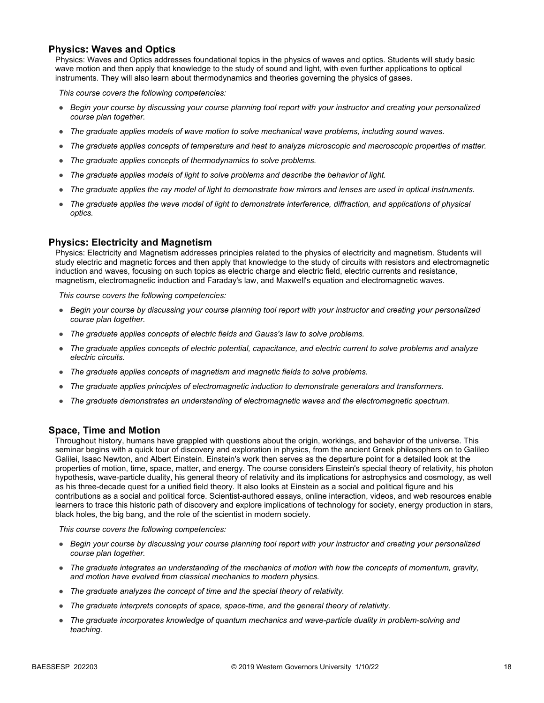#### **Physics: Waves and Optics**

Physics: Waves and Optics addresses foundational topics in the physics of waves and optics. Students will study basic wave motion and then apply that knowledge to the study of sound and light, with even further applications to optical instruments. They will also learn about thermodynamics and theories governing the physics of gases.

*This course covers the following competencies:*

- *Begin your course by discussing your course planning tool report with your instructor and creating your personalized course plan together.*
- *The graduate applies models of wave motion to solve mechanical wave problems, including sound waves.*
- *The graduate applies concepts of temperature and heat to analyze microscopic and macroscopic properties of matter.*
- *The graduate applies concepts of thermodynamics to solve problems.*
- *The graduate applies models of light to solve problems and describe the behavior of light.*
- *The graduate applies the ray model of light to demonstrate how mirrors and lenses are used in optical instruments.*
- *The graduate applies the wave model of light to demonstrate interference, diffraction, and applications of physical optics.*

#### **Physics: Electricity and Magnetism**

Physics: Electricity and Magnetism addresses principles related to the physics of electricity and magnetism. Students will study electric and magnetic forces and then apply that knowledge to the study of circuits with resistors and electromagnetic induction and waves, focusing on such topics as electric charge and electric field, electric currents and resistance, magnetism, electromagnetic induction and Faraday's law, and Maxwell's equation and electromagnetic waves.

*This course covers the following competencies:*

- *Begin your course by discussing your course planning tool report with your instructor and creating your personalized course plan together.*
- *The graduate applies concepts of electric fields and Gauss's law to solve problems.*
- *The graduate applies concepts of electric potential, capacitance, and electric current to solve problems and analyze electric circuits.*
- *The graduate applies concepts of magnetism and magnetic fields to solve problems.*
- *The graduate applies principles of electromagnetic induction to demonstrate generators and transformers.*
- *The graduate demonstrates an understanding of electromagnetic waves and the electromagnetic spectrum.*

#### **Space, Time and Motion**

Throughout history, humans have grappled with questions about the origin, workings, and behavior of the universe. This seminar begins with a quick tour of discovery and exploration in physics, from the ancient Greek philosophers on to Galileo Galilei, Isaac Newton, and Albert Einstein. Einstein's work then serves as the departure point for a detailed look at the properties of motion, time, space, matter, and energy. The course considers Einstein's special theory of relativity, his photon hypothesis, wave-particle duality, his general theory of relativity and its implications for astrophysics and cosmology, as well as his three-decade quest for a unified field theory. It also looks at Einstein as a social and political figure and his contributions as a social and political force. Scientist-authored essays, online interaction, videos, and web resources enable learners to trace this historic path of discovery and explore implications of technology for society, energy production in stars, black holes, the big bang, and the role of the scientist in modern society.

- *Begin your course by discussing your course planning tool report with your instructor and creating your personalized course plan together.*
- *The graduate integrates an understanding of the mechanics of motion with how the concepts of momentum, gravity, and motion have evolved from classical mechanics to modern physics.*
- *The graduate analyzes the concept of time and the special theory of relativity.*
- *The graduate interprets concepts of space, space-time, and the general theory of relativity.*
- *The graduate incorporates knowledge of quantum mechanics and wave-particle duality in problem-solving and teaching.*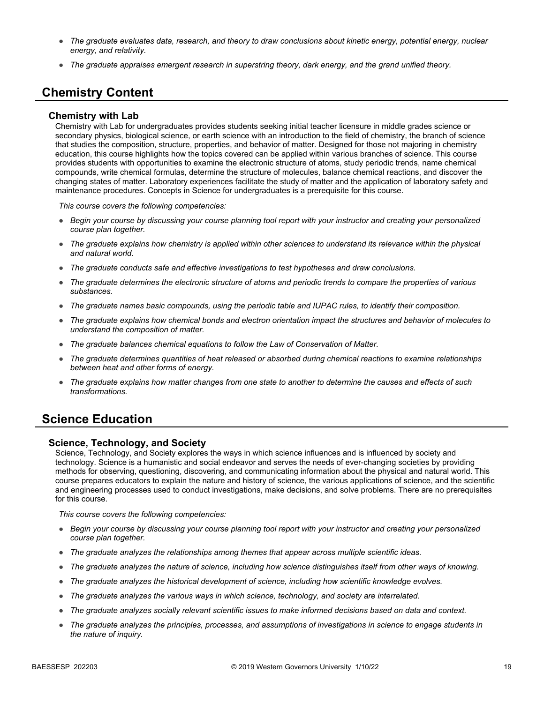- *The graduate evaluates data, research, and theory to draw conclusions about kinetic energy, potential energy, nuclear energy, and relativity.*
- *The graduate appraises emergent research in superstring theory, dark energy, and the grand unified theory.*

## **Chemistry Content**

#### **Chemistry with Lab**

Chemistry with Lab for undergraduates provides students seeking initial teacher licensure in middle grades science or secondary physics, biological science, or earth science with an introduction to the field of chemistry, the branch of science that studies the composition, structure, properties, and behavior of matter. Designed for those not majoring in chemistry education, this course highlights how the topics covered can be applied within various branches of science. This course provides students with opportunities to examine the electronic structure of atoms, study periodic trends, name chemical compounds, write chemical formulas, determine the structure of molecules, balance chemical reactions, and discover the changing states of matter. Laboratory experiences facilitate the study of matter and the application of laboratory safety and maintenance procedures. Concepts in Science for undergraduates is a prerequisite for this course.

*This course covers the following competencies:*

- *Begin your course by discussing your course planning tool report with your instructor and creating your personalized course plan together.*
- *The graduate explains how chemistry is applied within other sciences to understand its relevance within the physical and natural world.*
- *The graduate conducts safe and effective investigations to test hypotheses and draw conclusions.*
- *The graduate determines the electronic structure of atoms and periodic trends to compare the properties of various substances.*
- *The graduate names basic compounds, using the periodic table and IUPAC rules, to identify their composition.*
- *The graduate explains how chemical bonds and electron orientation impact the structures and behavior of molecules to understand the composition of matter.*
- *The graduate balances chemical equations to follow the Law of Conservation of Matter.*
- *The graduate determines quantities of heat released or absorbed during chemical reactions to examine relationships between heat and other forms of energy.*
- *The graduate explains how matter changes from one state to another to determine the causes and effects of such transformations.*

### **Science Education**

#### **Science, Technology, and Society**

Science, Technology, and Society explores the ways in which science influences and is influenced by society and technology. Science is a humanistic and social endeavor and serves the needs of ever-changing societies by providing methods for observing, questioning, discovering, and communicating information about the physical and natural world. This course prepares educators to explain the nature and history of science, the various applications of science, and the scientific and engineering processes used to conduct investigations, make decisions, and solve problems. There are no prerequisites for this course.

- *Begin your course by discussing your course planning tool report with your instructor and creating your personalized course plan together.*
- *The graduate analyzes the relationships among themes that appear across multiple scientific ideas.*
- *The graduate analyzes the nature of science, including how science distinguishes itself from other ways of knowing.*
- *The graduate analyzes the historical development of science, including how scientific knowledge evolves.*
- *The graduate analyzes the various ways in which science, technology, and society are interrelated.*
- *The graduate analyzes socially relevant scientific issues to make informed decisions based on data and context.*
- *The graduate analyzes the principles, processes, and assumptions of investigations in science to engage students in the nature of inquiry.*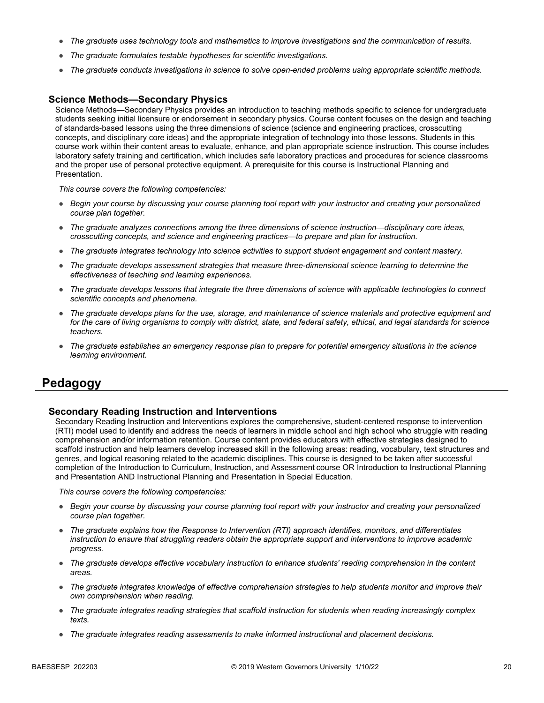- *The graduate uses technology tools and mathematics to improve investigations and the communication of results.*
- *The graduate formulates testable hypotheses for scientific investigations.*
- *The graduate conducts investigations in science to solve open-ended problems using appropriate scientific methods.*

#### **Science Methods—Secondary Physics**

Science Methods—Secondary Physics provides an introduction to teaching methods specific to science for undergraduate students seeking initial licensure or endorsement in secondary physics. Course content focuses on the design and teaching of standards-based lessons using the three dimensions of science (science and engineering practices, crosscutting concepts, and disciplinary core ideas) and the appropriate integration of technology into those lessons. Students in this course work within their content areas to evaluate, enhance, and plan appropriate science instruction. This course includes laboratory safety training and certification, which includes safe laboratory practices and procedures for science classrooms and the proper use of personal protective equipment. A prerequisite for this course is Instructional Planning and Presentation.

*This course covers the following competencies:*

- *Begin your course by discussing your course planning tool report with your instructor and creating your personalized course plan together.*
- *The graduate analyzes connections among the three dimensions of science instruction—disciplinary core ideas, crosscutting concepts, and science and engineering practices—to prepare and plan for instruction.*
- *The graduate integrates technology into science activities to support student engagement and content mastery.*
- *The graduate develops assessment strategies that measure three-dimensional science learning to determine the effectiveness of teaching and learning experiences.*
- *The graduate develops lessons that integrate the three dimensions of science with applicable technologies to connect scientific concepts and phenomena.*
- *The graduate develops plans for the use, storage, and maintenance of science materials and protective equipment and for the care of living organisms to comply with district, state, and federal safety, ethical, and legal standards for science teachers.*
- *The graduate establishes an emergency response plan to prepare for potential emergency situations in the science learning environment.*

### **Pedagogy**

#### **Secondary Reading Instruction and Interventions**

Secondary Reading Instruction and Interventions explores the comprehensive, student-centered response to intervention (RTI) model used to identify and address the needs of learners in middle school and high school who struggle with reading comprehension and/or information retention. Course content provides educators with effective strategies designed to scaffold instruction and help learners develop increased skill in the following areas: reading, vocabulary, text structures and genres, and logical reasoning related to the academic disciplines. This course is designed to be taken after successful completion of the Introduction to Curriculum, Instruction, and Assessment course OR Introduction to Instructional Planning and Presentation AND Instructional Planning and Presentation in Special Education.

- *Begin your course by discussing your course planning tool report with your instructor and creating your personalized course plan together.*
- *The graduate explains how the Response to Intervention (RTI) approach identifies, monitors, and differentiates instruction to ensure that struggling readers obtain the appropriate support and interventions to improve academic progress.*
- *The graduate develops effective vocabulary instruction to enhance students' reading comprehension in the content areas.*
- *The graduate integrates knowledge of effective comprehension strategies to help students monitor and improve their own comprehension when reading.*
- *The graduate integrates reading strategies that scaffold instruction for students when reading increasingly complex texts.*
- *The graduate integrates reading assessments to make informed instructional and placement decisions.*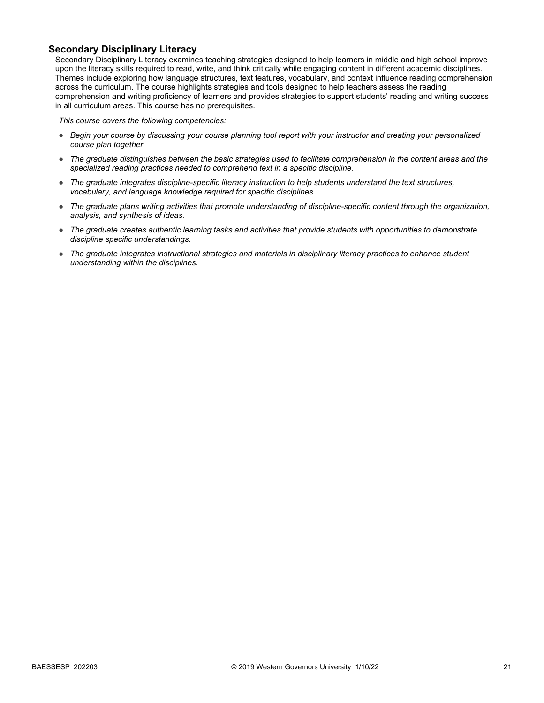### **Secondary Disciplinary Literacy**

Secondary Disciplinary Literacy examines teaching strategies designed to help learners in middle and high school improve upon the literacy skills required to read, write, and think critically while engaging content in different academic disciplines. Themes include exploring how language structures, text features, vocabulary, and context influence reading comprehension across the curriculum. The course highlights strategies and tools designed to help teachers assess the reading comprehension and writing proficiency of learners and provides strategies to support students' reading and writing success in all curriculum areas. This course has no prerequisites.

- *Begin your course by discussing your course planning tool report with your instructor and creating your personalized course plan together.*
- *The graduate distinguishes between the basic strategies used to facilitate comprehension in the content areas and the specialized reading practices needed to comprehend text in a specific discipline.*
- *The graduate integrates discipline-specific literacy instruction to help students understand the text structures, vocabulary, and language knowledge required for specific disciplines.*
- *The graduate plans writing activities that promote understanding of discipline-specific content through the organization, analysis, and synthesis of ideas.*
- *The graduate creates authentic learning tasks and activities that provide students with opportunities to demonstrate discipline specific understandings.*
- The graduate integrates instructional strategies and materials in disciplinary literacy practices to enhance student *understanding within the disciplines.*